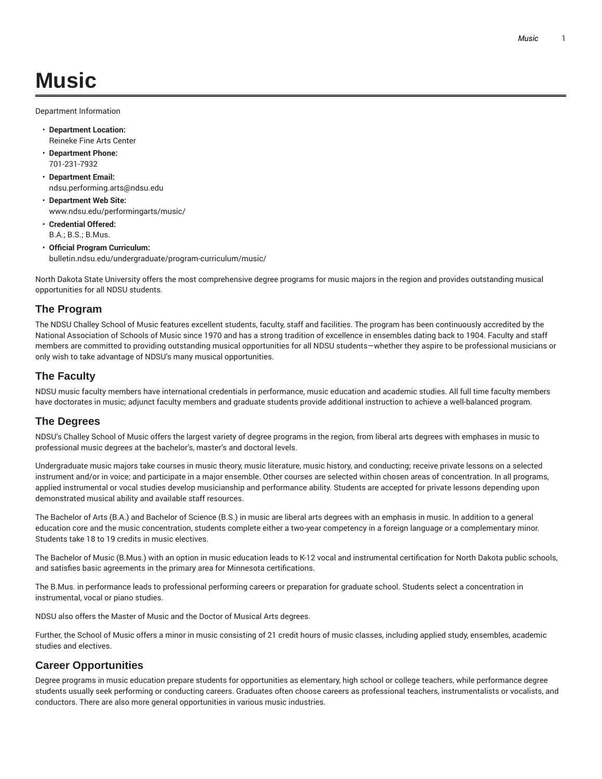# **Music**

Department Information

- **Department Location:** Reineke Fine Arts Center
- **Department Phone:** 701-231-7932
- **Department Email:** ndsu.performing.arts@ndsu.edu
- **Department Web Site:** www.ndsu.edu/performingarts/music/
- **Credential Offered:** B.A.; B.S.; B.Mus.
- **Official Program Curriculum:** bulletin.ndsu.edu/undergraduate/program-curriculum/music/

North Dakota State University offers the most comprehensive degree programs for music majors in the region and provides outstanding musical opportunities for all NDSU students.

#### **The Program**

The NDSU Challey School of Music features excellent students, faculty, staff and facilities. The program has been continuously accredited by the National Association of Schools of Music since 1970 and has a strong tradition of excellence in ensembles dating back to 1904. Faculty and staff members are committed to providing outstanding musical opportunities for all NDSU students—whether they aspire to be professional musicians or only wish to take advantage of NDSU's many musical opportunities.

#### **The Faculty**

NDSU music faculty members have international credentials in performance, music education and academic studies. All full time faculty members have doctorates in music; adjunct faculty members and graduate students provide additional instruction to achieve a well-balanced program.

#### **The Degrees**

NDSU's Challey School of Music offers the largest variety of degree programs in the region, from liberal arts degrees with emphases in music to professional music degrees at the bachelor's, master's and doctoral levels.

Undergraduate music majors take courses in music theory, music literature, music history, and conducting; receive private lessons on a selected instrument and/or in voice; and participate in a major ensemble. Other courses are selected within chosen areas of concentration. In all programs, applied instrumental or vocal studies develop musicianship and performance ability. Students are accepted for private lessons depending upon demonstrated musical ability and available staff resources.

The Bachelor of Arts (B.A.) and Bachelor of Science (B.S.) in music are liberal arts degrees with an emphasis in music. In addition to a general education core and the music concentration, students complete either a two-year competency in a foreign language or a complementary minor. Students take 18 to 19 credits in music electives.

The Bachelor of Music (B.Mus.) with an option in music education leads to K-12 vocal and instrumental certification for North Dakota public schools, and satisfies basic agreements in the primary area for Minnesota certifications.

The B.Mus. in performance leads to professional performing careers or preparation for graduate school. Students select a concentration in instrumental, vocal or piano studies.

NDSU also offers the Master of Music and the Doctor of Musical Arts degrees.

Further, the School of Music offers a minor in music consisting of 21 credit hours of music classes, including applied study, ensembles, academic studies and electives.

#### **Career Opportunities**

Degree programs in music education prepare students for opportunities as elementary, high school or college teachers, while performance degree students usually seek performing or conducting careers. Graduates often choose careers as professional teachers, instrumentalists or vocalists, and conductors. There are also more general opportunities in various music industries.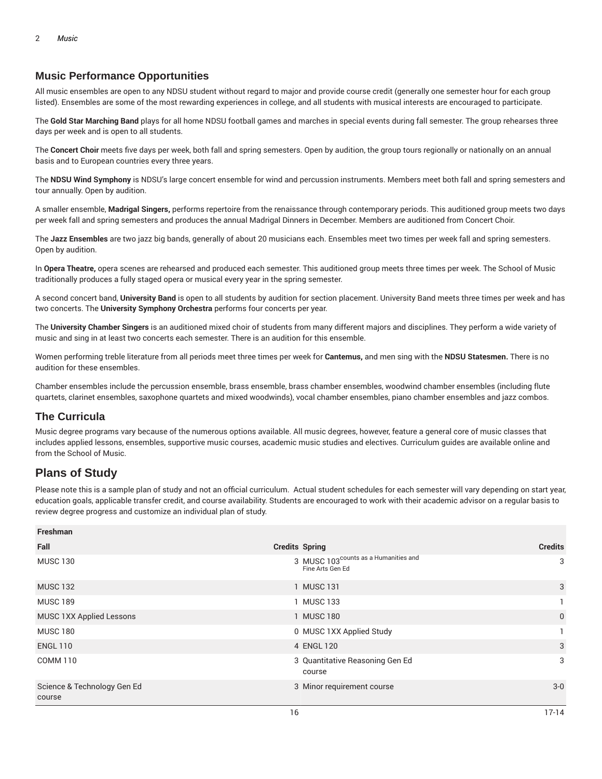# **Music Performance Opportunities**

All music ensembles are open to any NDSU student without regard to major and provide course credit (generally one semester hour for each group listed). Ensembles are some of the most rewarding experiences in college, and all students with musical interests are encouraged to participate.

The **Gold Star Marching Band** plays for all home NDSU football games and marches in special events during fall semester. The group rehearses three days per week and is open to all students.

The **Concert Choir** meets five days per week, both fall and spring semesters. Open by audition, the group tours regionally or nationally on an annual basis and to European countries every three years.

The **NDSU Wind Symphony** is NDSU's large concert ensemble for wind and percussion instruments. Members meet both fall and spring semesters and tour annually. Open by audition.

A smaller ensemble, **Madrigal Singers,** performs repertoire from the renaissance through contemporary periods. This auditioned group meets two days per week fall and spring semesters and produces the annual Madrigal Dinners in December. Members are auditioned from Concert Choir.

The **Jazz Ensembles** are two jazz big bands, generally of about 20 musicians each. Ensembles meet two times per week fall and spring semesters. Open by audition.

In **Opera Theatre,** opera scenes are rehearsed and produced each semester. This auditioned group meets three times per week. The School of Music traditionally produces a fully staged opera or musical every year in the spring semester.

A second concert band, **University Band** is open to all students by audition for section placement. University Band meets three times per week and has two concerts. The **University Symphony Orchestra** performs four concerts per year.

The **University Chamber Singers** is an auditioned mixed choir of students from many different majors and disciplines. They perform a wide variety of music and sing in at least two concerts each semester. There is an audition for this ensemble.

Women performing treble literature from all periods meet three times per week for **Cantemus,** and men sing with the **NDSU Statesmen.** There is no audition for these ensembles.

Chamber ensembles include the percussion ensemble, brass ensemble, brass chamber ensembles, woodwind chamber ensembles (including flute quartets, clarinet ensembles, saxophone quartets and mixed woodwinds), vocal chamber ensembles, piano chamber ensembles and jazz combos.

## **The Curricula**

Music degree programs vary because of the numerous options available. All music degrees, however, feature a general core of music classes that includes applied lessons, ensembles, supportive music courses, academic music studies and electives. Curriculum guides are available online and from the School of Music.

# **Plans of Study**

Please note this is a sample plan of study and not an official curriculum. Actual student schedules for each semester will vary depending on start year, education goals, applicable transfer credit, and course availability. Students are encouraged to work with their academic advisor on a regular basis to review degree progress and customize an individual plan of study.

| Freshman                              |                                                                      |                |
|---------------------------------------|----------------------------------------------------------------------|----------------|
| Fall                                  | <b>Credits Spring</b>                                                | <b>Credits</b> |
| <b>MUSC 130</b>                       | 3 MUSC 103 <sup>counts</sup> as a Humanities and<br>Fine Arts Gen Ed | 3              |
| <b>MUSC 132</b>                       | 1 MUSC 131                                                           | 3              |
| <b>MUSC 189</b>                       | 1 MUSC 133                                                           |                |
| MUSC 1XX Applied Lessons              | 1 MUSC 180                                                           | $\mathbf{0}$   |
| <b>MUSC 180</b>                       | 0 MUSC 1XX Applied Study                                             |                |
| <b>ENGL 110</b>                       | 4 ENGL 120                                                           | 3              |
| <b>COMM 110</b>                       | 3 Quantitative Reasoning Gen Ed<br>course                            | 3              |
| Science & Technology Gen Ed<br>course | 3 Minor requirement course                                           | $3-0$          |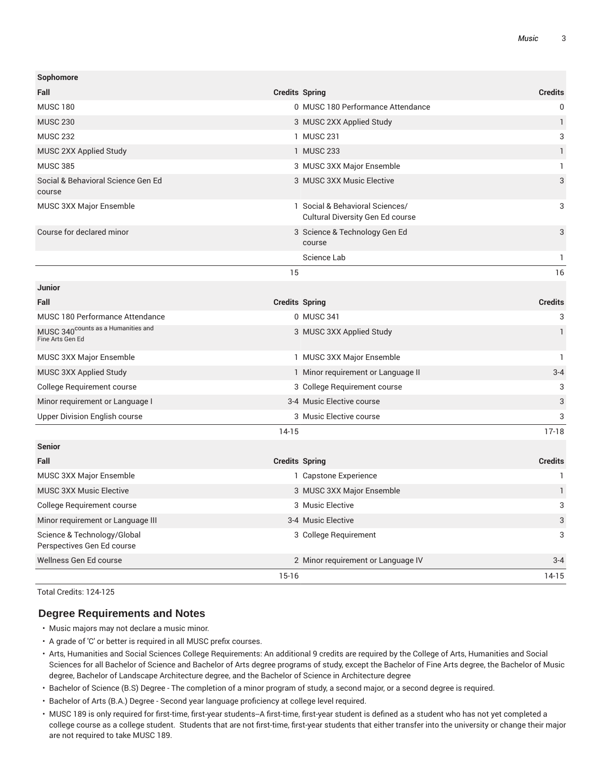| Sophomore                                                          |                       |                                                                            |                           |
|--------------------------------------------------------------------|-----------------------|----------------------------------------------------------------------------|---------------------------|
| Fall                                                               | <b>Credits Spring</b> |                                                                            | <b>Credits</b>            |
| <b>MUSC 180</b>                                                    |                       | 0 MUSC 180 Performance Attendance                                          | $\Omega$                  |
| <b>MUSC 230</b>                                                    |                       | 3 MUSC 2XX Applied Study                                                   | $\mathbf{1}$              |
| <b>MUSC 232</b>                                                    |                       | 1 MUSC 231                                                                 | 3                         |
| MUSC 2XX Applied Study                                             |                       | 1 MUSC 233                                                                 | 1                         |
| <b>MUSC 385</b>                                                    |                       | 3 MUSC 3XX Major Ensemble                                                  | 1                         |
| Social & Behavioral Science Gen Ed<br>course                       |                       | 3 MUSC 3XX Music Elective                                                  | 3                         |
| <b>MUSC 3XX Major Ensemble</b>                                     |                       | 1 Social & Behavioral Sciences/<br><b>Cultural Diversity Gen Ed course</b> | 3                         |
| Course for declared minor                                          |                       | 3 Science & Technology Gen Ed<br>course                                    | 3                         |
|                                                                    |                       | Science Lab                                                                | $\mathbf{1}$              |
|                                                                    | 15                    |                                                                            | 16                        |
| <b>Junior</b>                                                      |                       |                                                                            |                           |
| Fall                                                               |                       | <b>Credits Spring</b>                                                      | <b>Credits</b>            |
| MUSC 180 Performance Attendance                                    |                       | 0 MUSC 341                                                                 | $\ensuremath{\mathsf{3}}$ |
| MUSC 340 <sup>counts</sup> as a Humanities and<br>Fine Arts Gen Ed |                       | 3 MUSC 3XX Applied Study                                                   | $\mathbf{1}$              |
| <b>MUSC 3XX Major Ensemble</b>                                     |                       | 1 MUSC 3XX Major Ensemble                                                  | $\mathbf{1}$              |
| MUSC 3XX Applied Study                                             |                       | 1 Minor requirement or Language II                                         | $3 - 4$                   |
| College Requirement course                                         |                       | 3 College Requirement course                                               | 3                         |
| Minor requirement or Language I                                    |                       | 3-4 Music Elective course                                                  | 3                         |
| Upper Division English course                                      |                       | 3 Music Elective course                                                    | 3                         |
|                                                                    | $14-15$               |                                                                            | $17-18$                   |
| <b>Senior</b>                                                      |                       |                                                                            |                           |
| Fall                                                               |                       | <b>Credits Spring</b>                                                      | <b>Credits</b>            |
| MUSC 3XX Major Ensemble                                            |                       | 1 Capstone Experience                                                      | 1                         |
| <b>MUSC 3XX Music Elective</b>                                     |                       | 3 MUSC 3XX Major Ensemble                                                  | $\mathbf{1}$              |
| College Requirement course                                         |                       | 3 Music Elective                                                           | 3                         |
| Minor requirement or Language III                                  |                       | 3-4 Music Elective                                                         | 3                         |
| Science & Technology/Global<br>Perspectives Gen Ed course          |                       | 3 College Requirement                                                      | 3                         |
| Wellness Gen Ed course                                             |                       | 2 Minor requirement or Language IV                                         | $3 - 4$                   |
|                                                                    | $15 - 16$             |                                                                            | $14-15$                   |

Total Credits: 124-125

#### **Degree Requirements and Notes**

- Music majors may not declare a music minor.
- A grade of 'C' or better is required in all MUSC prefix courses.
- Arts, Humanities and Social Sciences College Requirements: An additional 9 credits are required by the College of Arts, Humanities and Social Sciences for all Bachelor of Science and Bachelor of Arts degree programs of study, except the Bachelor of Fine Arts degree, the Bachelor of Music degree, Bachelor of Landscape Architecture degree, and the Bachelor of Science in Architecture degree
- Bachelor of Science (B.S) Degree The completion of a minor program of study, a second major, or a second degree is required.
- Bachelor of Arts (B.A.) Degree Second year language proficiency at college level required.
- MUSC 189 is only required for first-time, first-year students--A first-time, first-year student is defined as a student who has not yet completed a college course as a college student. Students that are not first-time, first-year students that either transfer into the university or change their major are not required to take MUSC 189.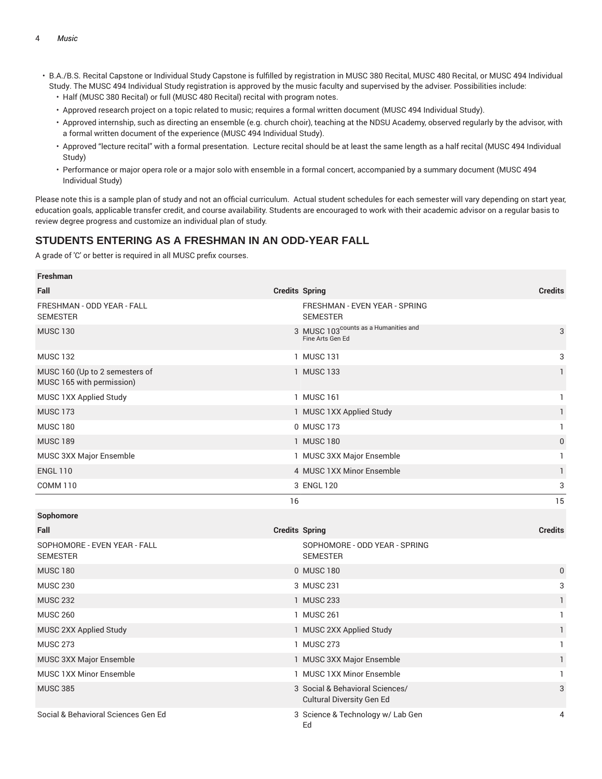- B.A./B.S. Recital Capstone or Individual Study Capstone is fulfilled by registration in MUSC 380 Recital, MUSC 480 Recital, or MUSC 494 Individual Study. The MUSC 494 Individual Study registration is approved by the music faculty and supervised by the adviser. Possibilities include:
	- Half (MUSC 380 Recital) or full (MUSC 480 Recital) recital with program notes.
	- Approved research project on a topic related to music; requires a formal written document (MUSC 494 Individual Study).
	- Approved internship, such as directing an ensemble (e.g. church choir), teaching at the NDSU Academy, observed regularly by the advisor, with a formal written document of the experience (MUSC 494 Individual Study).
	- Approved "lecture recital" with a formal presentation. Lecture recital should be at least the same length as a half recital (MUSC 494 Individual Study)
	- Performance or major opera role or a major solo with ensemble in a formal concert, accompanied by a summary document (MUSC 494 Individual Study)

Please note this is a sample plan of study and not an official curriculum. Actual student schedules for each semester will vary depending on start year, education goals, applicable transfer credit, and course availability. Students are encouraged to work with their academic advisor on a regular basis to review degree progress and customize an individual plan of study.

# **STUDENTS ENTERING AS A FRESHMAN IN AN ODD-YEAR FALL**

| <b>Freshman</b>                                             |                                                                      |                |
|-------------------------------------------------------------|----------------------------------------------------------------------|----------------|
| Fall                                                        | <b>Credits Spring</b>                                                | <b>Credits</b> |
| FRESHMAN - ODD YEAR - FALL<br><b>SEMESTER</b>               | FRESHMAN - EVEN YEAR - SPRING<br><b>SEMESTER</b>                     |                |
| <b>MUSC 130</b>                                             | 3 MUSC 103 <sup>counts</sup> as a Humanities and<br>Fine Arts Gen Ed | 3              |
| <b>MUSC 132</b>                                             | 1 MUSC 131                                                           | 3              |
| MUSC 160 (Up to 2 semesters of<br>MUSC 165 with permission) | 1 MUSC 133                                                           | $\mathbf{1}$   |
| MUSC 1XX Applied Study                                      | 1 MUSC 161                                                           | $\mathbf{1}$   |
| <b>MUSC 173</b>                                             | 1 MUSC 1XX Applied Study                                             | $\mathbf{1}$   |
| <b>MUSC 180</b>                                             | 0 MUSC 173                                                           | $\mathbf{1}$   |
| <b>MUSC 189</b>                                             | 1 MUSC 180                                                           | $\mathbf 0$    |
| MUSC 3XX Major Ensemble                                     | 1 MUSC 3XX Major Ensemble                                            | $\mathbf{1}$   |
| <b>ENGL 110</b>                                             | 4 MUSC 1XX Minor Ensemble                                            | $\mathbf{1}$   |
| <b>COMM 110</b>                                             | 3 ENGL 120                                                           | 3              |
|                                                             |                                                                      |                |
|                                                             | 16                                                                   | 15             |
| Sophomore                                                   |                                                                      |                |
| Fall                                                        | <b>Credits Spring</b>                                                | <b>Credits</b> |
| SOPHOMORE - EVEN YEAR - FALL<br><b>SEMESTER</b>             | SOPHOMORE - ODD YEAR - SPRING<br><b>SEMESTER</b>                     |                |
| <b>MUSC 180</b>                                             | 0 MUSC 180                                                           | $\pmb{0}$      |
| <b>MUSC 230</b>                                             | 3 MUSC 231                                                           | 3              |
| <b>MUSC 232</b>                                             | 1 MUSC 233                                                           | $\mathbf{1}$   |
| <b>MUSC 260</b>                                             | 1 MUSC 261                                                           | $\mathbf{1}$   |
| MUSC 2XX Applied Study                                      | 1 MUSC 2XX Applied Study                                             | $\mathbf{1}$   |
| <b>MUSC 273</b>                                             | 1 MUSC 273                                                           | $\mathbf{1}$   |
| MUSC 3XX Major Ensemble                                     | 1 MUSC 3XX Major Ensemble                                            | $\mathbf{1}$   |
| <b>MUSC 1XX Minor Ensemble</b>                              | 1 MUSC 1XX Minor Ensemble                                            | $\mathbf{1}$   |
| <b>MUSC 385</b>                                             | 3 Social & Behavioral Sciences/<br>Cultural Diversity Gen Ed         | 3              |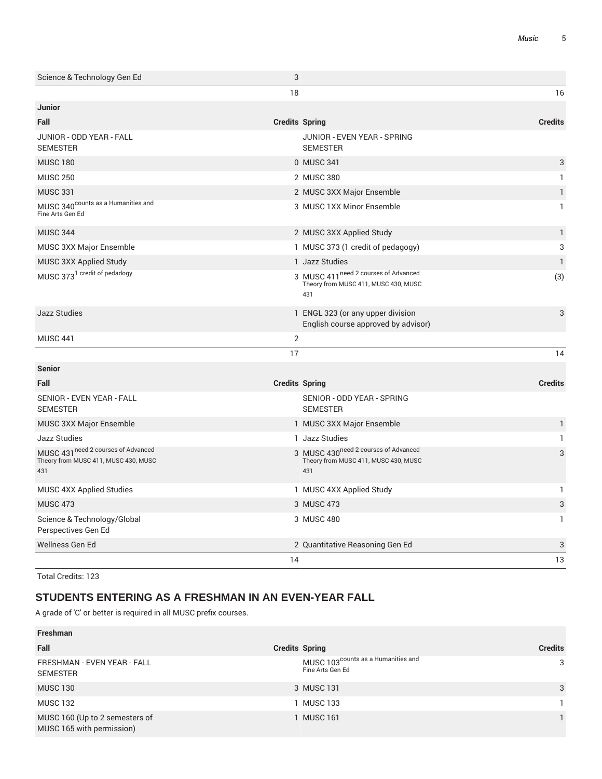| Science & Technology Gen Ed                                                        | 3                     |                                                                                                 |                           |
|------------------------------------------------------------------------------------|-----------------------|-------------------------------------------------------------------------------------------------|---------------------------|
|                                                                                    | 18                    |                                                                                                 | 16                        |
| Junior                                                                             |                       |                                                                                                 |                           |
| Fall                                                                               | <b>Credits Spring</b> |                                                                                                 | <b>Credits</b>            |
| JUNIOR - ODD YEAR - FALL<br><b>SEMESTER</b>                                        |                       | JUNIOR - EVEN YEAR - SPRING<br><b>SEMESTER</b>                                                  |                           |
| <b>MUSC 180</b>                                                                    |                       | 0 MUSC 341                                                                                      | 3                         |
| <b>MUSC 250</b>                                                                    |                       | 2 MUSC 380                                                                                      | $\mathbf{1}$              |
| <b>MUSC 331</b>                                                                    |                       | 2 MUSC 3XX Major Ensemble                                                                       | $\mathbf{1}$              |
| MUSC 340 <sup>counts</sup> as a Humanities and<br>Fine Arts Gen Ed                 |                       | 3 MUSC 1XX Minor Ensemble                                                                       | $\mathbf{1}$              |
| <b>MUSC 344</b>                                                                    |                       | 2 MUSC 3XX Applied Study                                                                        | $\mathbf{1}$              |
| MUSC 3XX Major Ensemble                                                            |                       | 1 MUSC 373 (1 credit of pedagogy)                                                               | 3                         |
| MUSC 3XX Applied Study                                                             |                       | 1 Jazz Studies                                                                                  | $\mathbf{1}$              |
| MUSC 373 <sup>1</sup> credit of pedadogy                                           |                       | 3 MUSC 411 <sup>need 2</sup> courses of Advanced<br>Theory from MUSC 411, MUSC 430, MUSC<br>431 | (3)                       |
| <b>Jazz Studies</b>                                                                |                       | 1 ENGL 323 (or any upper division<br>English course approved by advisor)                        | 3                         |
| <b>MUSC 441</b>                                                                    | $\overline{2}$        |                                                                                                 |                           |
|                                                                                    | 17                    |                                                                                                 | 14                        |
| <b>Senior</b>                                                                      |                       |                                                                                                 |                           |
| Fall                                                                               | <b>Credits Spring</b> |                                                                                                 | <b>Credits</b>            |
| <b>SENIOR - EVEN YEAR - FALL</b><br><b>SEMESTER</b>                                |                       | SENIOR - ODD YEAR - SPRING<br><b>SEMESTER</b>                                                   |                           |
| MUSC 3XX Major Ensemble                                                            |                       | 1 MUSC 3XX Major Ensemble                                                                       | $\mathbf{1}$              |
| Jazz Studies                                                                       |                       | 1 Jazz Studies                                                                                  | $\mathbf{1}$              |
| MUSC 431 need 2 courses of Advanced<br>Theory from MUSC 411, MUSC 430, MUSC<br>431 |                       | 3 MUSC 430 <sup>need 2</sup> courses of Advanced<br>Theory from MUSC 411, MUSC 430, MUSC<br>431 | 3                         |
| MUSC 4XX Applied Studies                                                           |                       | 1 MUSC 4XX Applied Study                                                                        | 1                         |
| <b>MUSC 473</b>                                                                    |                       | 3 MUSC 473                                                                                      | $\ensuremath{\mathsf{3}}$ |
| Science & Technology/Global<br>Perspectives Gen Ed                                 |                       | 3 MUSC 480                                                                                      | $\mathbf{1}$              |
| Wellness Gen Ed                                                                    |                       | 2 Quantitative Reasoning Gen Ed                                                                 | 3                         |
|                                                                                    | 14                    |                                                                                                 | 13                        |

# **STUDENTS ENTERING AS A FRESHMAN IN AN EVEN-YEAR FALL**

| Freshman                                                    |                                                                    |                |
|-------------------------------------------------------------|--------------------------------------------------------------------|----------------|
| Fall                                                        | <b>Credits Spring</b>                                              | <b>Credits</b> |
| FRESHMAN - EVEN YEAR - FALL<br><b>SEMESTER</b>              | MUSC 103 <sup>counts</sup> as a Humanities and<br>Fine Arts Gen Ed | 3              |
| <b>MUSC 130</b>                                             | 3 MUSC 131                                                         | 3              |
| <b>MUSC 132</b>                                             | MUSC 133                                                           |                |
| MUSC 160 (Up to 2 semesters of<br>MUSC 165 with permission) | <b>MUSC 161</b>                                                    |                |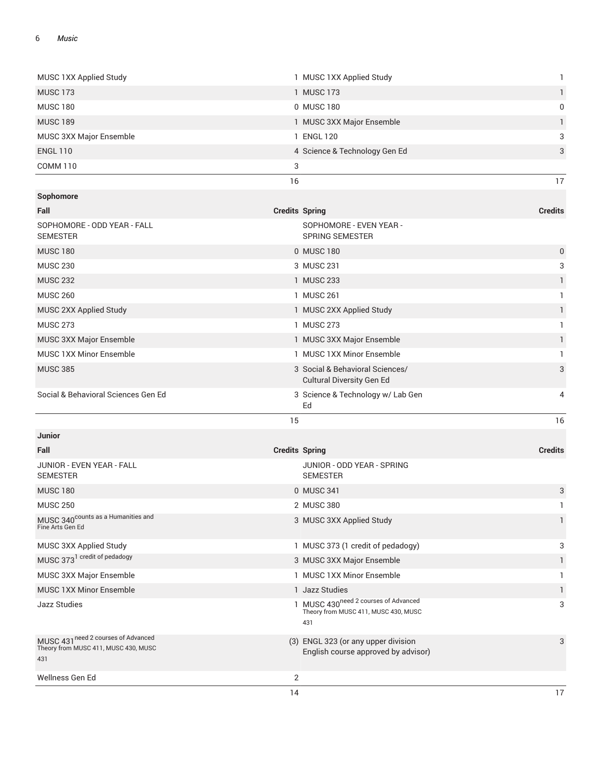| JUNIOR - EVEN YEAR - FALL<br><b>SEMESTER</b><br><b>MUSC 180</b><br><b>MUSC 250</b><br>MUSC 340 <sup>counts</sup> as a Humanities and<br>Fine Arts Gen Ed<br>MUSC 3XX Applied Study<br>MUSC 373 <sup>1</sup> credit of pedadogy<br>MUSC 3XX Major Ensemble<br>MUSC 1XX Minor Ensemble<br><b>Jazz Studies</b><br>MUSC 431 need 2 courses of Advanced<br>Theory from MUSC 411, MUSC 430, MUSC<br>431 | JUNIOR - ODD YEAR - SPRING<br><b>SEMESTER</b><br>0 MUSC 341<br>2 MUSC 380<br>3 MUSC 3XX Applied Study<br>1 MUSC 373 (1 credit of pedadogy)<br>3 MUSC 3XX Major Ensemble<br>1 MUSC 1XX Minor Ensemble<br>1 Jazz Studies<br>1 MUSC 430 <sup>need 2</sup> courses of Advanced<br>Theory from MUSC 411, MUSC 430, MUSC<br>431<br>(3) ENGL 323 (or any upper division<br>English course approved by advisor) | 3<br>1<br>$\mathbf{1}$<br>3<br>$\mathbf{1}$<br>1<br>$\mathbf{1}$<br>3<br>3 |
|---------------------------------------------------------------------------------------------------------------------------------------------------------------------------------------------------------------------------------------------------------------------------------------------------------------------------------------------------------------------------------------------------|---------------------------------------------------------------------------------------------------------------------------------------------------------------------------------------------------------------------------------------------------------------------------------------------------------------------------------------------------------------------------------------------------------|----------------------------------------------------------------------------|
|                                                                                                                                                                                                                                                                                                                                                                                                   |                                                                                                                                                                                                                                                                                                                                                                                                         |                                                                            |
|                                                                                                                                                                                                                                                                                                                                                                                                   |                                                                                                                                                                                                                                                                                                                                                                                                         |                                                                            |
|                                                                                                                                                                                                                                                                                                                                                                                                   |                                                                                                                                                                                                                                                                                                                                                                                                         |                                                                            |
|                                                                                                                                                                                                                                                                                                                                                                                                   |                                                                                                                                                                                                                                                                                                                                                                                                         |                                                                            |
|                                                                                                                                                                                                                                                                                                                                                                                                   |                                                                                                                                                                                                                                                                                                                                                                                                         |                                                                            |
|                                                                                                                                                                                                                                                                                                                                                                                                   |                                                                                                                                                                                                                                                                                                                                                                                                         |                                                                            |
|                                                                                                                                                                                                                                                                                                                                                                                                   |                                                                                                                                                                                                                                                                                                                                                                                                         |                                                                            |
|                                                                                                                                                                                                                                                                                                                                                                                                   |                                                                                                                                                                                                                                                                                                                                                                                                         |                                                                            |
|                                                                                                                                                                                                                                                                                                                                                                                                   |                                                                                                                                                                                                                                                                                                                                                                                                         |                                                                            |
|                                                                                                                                                                                                                                                                                                                                                                                                   |                                                                                                                                                                                                                                                                                                                                                                                                         |                                                                            |
|                                                                                                                                                                                                                                                                                                                                                                                                   |                                                                                                                                                                                                                                                                                                                                                                                                         |                                                                            |
|                                                                                                                                                                                                                                                                                                                                                                                                   |                                                                                                                                                                                                                                                                                                                                                                                                         |                                                                            |
| Fall                                                                                                                                                                                                                                                                                                                                                                                              | <b>Credits Spring</b>                                                                                                                                                                                                                                                                                                                                                                                   | <b>Credits</b>                                                             |
| Junior                                                                                                                                                                                                                                                                                                                                                                                            |                                                                                                                                                                                                                                                                                                                                                                                                         |                                                                            |
|                                                                                                                                                                                                                                                                                                                                                                                                   | 15                                                                                                                                                                                                                                                                                                                                                                                                      | 16                                                                         |
|                                                                                                                                                                                                                                                                                                                                                                                                   | Ed                                                                                                                                                                                                                                                                                                                                                                                                      |                                                                            |
| Social & Behavioral Sciences Gen Ed                                                                                                                                                                                                                                                                                                                                                               | <b>Cultural Diversity Gen Ed</b><br>3 Science & Technology w/ Lab Gen                                                                                                                                                                                                                                                                                                                                   | 4                                                                          |
| <b>MUSC 385</b>                                                                                                                                                                                                                                                                                                                                                                                   | 3 Social & Behavioral Sciences/                                                                                                                                                                                                                                                                                                                                                                         | 3                                                                          |
| MUSC 1XX Minor Ensemble                                                                                                                                                                                                                                                                                                                                                                           | 1 MUSC 1XX Minor Ensemble                                                                                                                                                                                                                                                                                                                                                                               | $\mathbf{1}$                                                               |
| MUSC 3XX Major Ensemble                                                                                                                                                                                                                                                                                                                                                                           | 1 MUSC 3XX Major Ensemble                                                                                                                                                                                                                                                                                                                                                                               | $\mathbf{1}$                                                               |
| <b>MUSC 273</b>                                                                                                                                                                                                                                                                                                                                                                                   | 1 MUSC 273                                                                                                                                                                                                                                                                                                                                                                                              | $\mathbf{1}$                                                               |
| MUSC 2XX Applied Study                                                                                                                                                                                                                                                                                                                                                                            | 1 MUSC 2XX Applied Study                                                                                                                                                                                                                                                                                                                                                                                | $\mathbf{1}$                                                               |
| <b>MUSC 260</b>                                                                                                                                                                                                                                                                                                                                                                                   | 1 MUSC 261                                                                                                                                                                                                                                                                                                                                                                                              | $\mathbf{1}$                                                               |
| <b>MUSC 232</b>                                                                                                                                                                                                                                                                                                                                                                                   | 1 MUSC 233                                                                                                                                                                                                                                                                                                                                                                                              | $\mathbf{1}$                                                               |
| <b>MUSC 230</b>                                                                                                                                                                                                                                                                                                                                                                                   | 3 MUSC 231                                                                                                                                                                                                                                                                                                                                                                                              | 3                                                                          |
| <b>MUSC 180</b>                                                                                                                                                                                                                                                                                                                                                                                   | 0 MUSC 180                                                                                                                                                                                                                                                                                                                                                                                              | $\mathbf 0$                                                                |
| SOPHOMORE - ODD YEAR - FALL<br><b>SEMESTER</b>                                                                                                                                                                                                                                                                                                                                                    | SOPHOMORE - EVEN YEAR -<br><b>SPRING SEMESTER</b>                                                                                                                                                                                                                                                                                                                                                       |                                                                            |
| Fall                                                                                                                                                                                                                                                                                                                                                                                              | <b>Credits Spring</b>                                                                                                                                                                                                                                                                                                                                                                                   | <b>Credits</b>                                                             |
| Sophomore                                                                                                                                                                                                                                                                                                                                                                                         |                                                                                                                                                                                                                                                                                                                                                                                                         |                                                                            |
|                                                                                                                                                                                                                                                                                                                                                                                                   | 16                                                                                                                                                                                                                                                                                                                                                                                                      | 17                                                                         |
| <b>COMM 110</b>                                                                                                                                                                                                                                                                                                                                                                                   | 3                                                                                                                                                                                                                                                                                                                                                                                                       |                                                                            |
| <b>ENGL 110</b>                                                                                                                                                                                                                                                                                                                                                                                   | 4 Science & Technology Gen Ed                                                                                                                                                                                                                                                                                                                                                                           | 3                                                                          |
| MUSC 3XX Major Ensemble                                                                                                                                                                                                                                                                                                                                                                           | 1 ENGL 120                                                                                                                                                                                                                                                                                                                                                                                              | 3                                                                          |
| <b>MUSC 189</b>                                                                                                                                                                                                                                                                                                                                                                                   | 0 MUSC 180<br>1 MUSC 3XX Major Ensemble                                                                                                                                                                                                                                                                                                                                                                 | 1                                                                          |
|                                                                                                                                                                                                                                                                                                                                                                                                   |                                                                                                                                                                                                                                                                                                                                                                                                         | $\mathbf{1}$<br>$\mathbf 0$                                                |
| <b>MUSC 180</b>                                                                                                                                                                                                                                                                                                                                                                                   |                                                                                                                                                                                                                                                                                                                                                                                                         |                                                                            |
| MUSC 1XX Applied Study<br><b>MUSC 173</b>                                                                                                                                                                                                                                                                                                                                                         | 1 MUSC 1XX Applied Study<br>1 MUSC 173                                                                                                                                                                                                                                                                                                                                                                  | $\mathbf{1}$                                                               |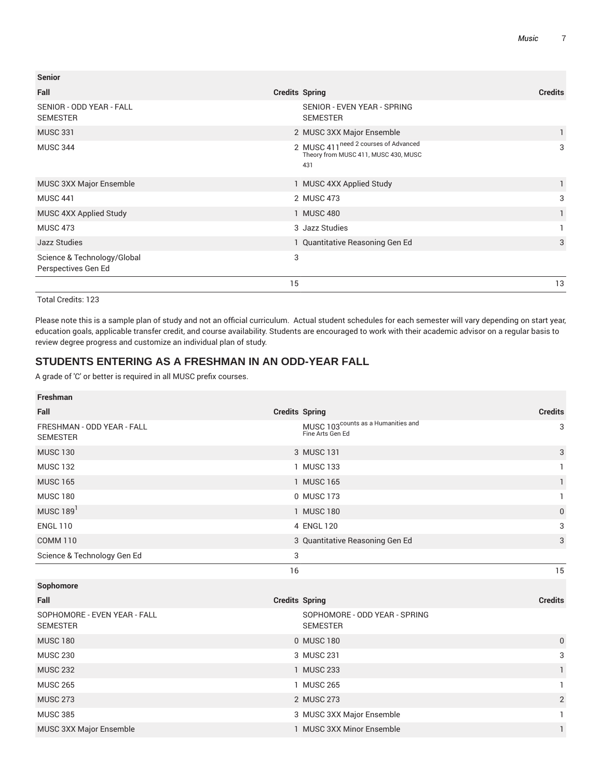| <b>Senior</b>                                      |                                                                                                 |                |
|----------------------------------------------------|-------------------------------------------------------------------------------------------------|----------------|
| Fall                                               | <b>Credits Spring</b>                                                                           | <b>Credits</b> |
| SENIOR - ODD YEAR - FALL<br><b>SEMESTER</b>        | SENIOR - EVEN YEAR - SPRING<br><b>SEMESTER</b>                                                  |                |
| <b>MUSC 331</b>                                    | 2 MUSC 3XX Major Ensemble                                                                       |                |
| <b>MUSC 344</b>                                    | 2 MUSC 411 <sup>need 2</sup> courses of Advanced<br>Theory from MUSC 411, MUSC 430, MUSC<br>431 | 3              |
| <b>MUSC 3XX Major Ensemble</b>                     | 1 MUSC 4XX Applied Study                                                                        |                |
| <b>MUSC 441</b>                                    | 2 MUSC 473                                                                                      | 3              |
| MUSC 4XX Applied Study                             | 1 MUSC 480                                                                                      |                |
| <b>MUSC 473</b>                                    | 3 Jazz Studies                                                                                  |                |
| <b>Jazz Studies</b>                                | 1 Quantitative Reasoning Gen Ed                                                                 | 3              |
| Science & Technology/Global<br>Perspectives Gen Ed | 3                                                                                               |                |
|                                                    | 15                                                                                              | 13             |

Please note this is a sample plan of study and not an official curriculum. Actual student schedules for each semester will vary depending on start year, education goals, applicable transfer credit, and course availability. Students are encouraged to work with their academic advisor on a regular basis to review degree progress and customize an individual plan of study.

## **STUDENTS ENTERING AS A FRESHMAN IN AN ODD-YEAR FALL**

| <b>Freshman</b>                                 |                                                                    |                |
|-------------------------------------------------|--------------------------------------------------------------------|----------------|
| Fall                                            | <b>Credits Spring</b>                                              | <b>Credits</b> |
| FRESHMAN - ODD YEAR - FALL<br><b>SEMESTER</b>   | MUSC 103 <sup>counts</sup> as a Humanities and<br>Fine Arts Gen Ed | 3              |
| <b>MUSC 130</b>                                 | 3 MUSC 131                                                         | 3              |
| <b>MUSC 132</b>                                 | 1 MUSC 133                                                         | $\mathbf{1}$   |
| <b>MUSC 165</b>                                 | 1 MUSC 165                                                         | 1              |
| <b>MUSC 180</b>                                 | 0 MUSC 173                                                         | 1              |
| MUSC $1891$                                     | 1 MUSC 180                                                         | $\mathbf 0$    |
| <b>ENGL 110</b>                                 | 4 ENGL 120                                                         | 3              |
| <b>COMM 110</b>                                 | 3 Quantitative Reasoning Gen Ed                                    | 3              |
| Science & Technology Gen Ed                     | 3                                                                  |                |
|                                                 | 16                                                                 | 15             |
|                                                 |                                                                    |                |
| Sophomore                                       |                                                                    |                |
| Fall                                            | <b>Credits Spring</b>                                              | <b>Credits</b> |
| SOPHOMORE - EVEN YEAR - FALL<br><b>SEMESTER</b> | SOPHOMORE - ODD YEAR - SPRING<br><b>SEMESTER</b>                   |                |
| <b>MUSC 180</b>                                 | 0 MUSC 180                                                         | $\mathbf 0$    |
| <b>MUSC 230</b>                                 | 3 MUSC 231                                                         | 3              |
| <b>MUSC 232</b>                                 | 1 MUSC 233                                                         | 1              |
| <b>MUSC 265</b>                                 | 1 MUSC 265                                                         | 1              |
| <b>MUSC 273</b>                                 | 2 MUSC 273                                                         | $\mathbf{2}$   |
| <b>MUSC 385</b>                                 | 3 MUSC 3XX Major Ensemble                                          |                |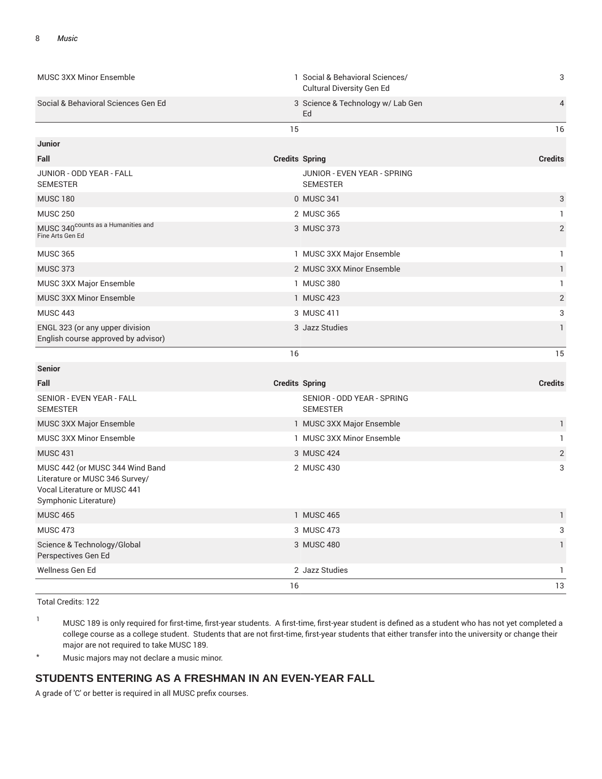|                                                                                                                            | 16                    |                                                              | 13             |
|----------------------------------------------------------------------------------------------------------------------------|-----------------------|--------------------------------------------------------------|----------------|
| Wellness Gen Ed                                                                                                            |                       | 2 Jazz Studies                                               | $\mathbf{1}$   |
| Science & Technology/Global<br>Perspectives Gen Ed                                                                         |                       | 3 MUSC 480                                                   | $\mathbf{1}$   |
| <b>MUSC 473</b>                                                                                                            |                       | 3 MUSC 473                                                   | 3              |
| <b>MUSC 465</b>                                                                                                            |                       | 1 MUSC 465                                                   | 1              |
| MUSC 442 (or MUSC 344 Wind Band<br>Literature or MUSC 346 Survey/<br>Vocal Literature or MUSC 441<br>Symphonic Literature) |                       | 2 MUSC 430                                                   | 3              |
| <b>MUSC 431</b>                                                                                                            |                       | 3 MUSC 424                                                   | $\overline{2}$ |
| MUSC 3XX Minor Ensemble                                                                                                    |                       | 1 MUSC 3XX Minor Ensemble                                    | 1              |
| MUSC 3XX Major Ensemble                                                                                                    |                       | 1 MUSC 3XX Major Ensemble                                    | 1              |
| SENIOR - EVEN YEAR - FALL<br><b>SEMESTER</b>                                                                               |                       | SENIOR - ODD YEAR - SPRING<br><b>SEMESTER</b>                |                |
| Fall                                                                                                                       | <b>Credits Spring</b> |                                                              | <b>Credits</b> |
| <b>Senior</b>                                                                                                              |                       |                                                              |                |
|                                                                                                                            | 16                    |                                                              | 15             |
| ENGL 323 (or any upper division<br>English course approved by advisor)                                                     |                       | 3 Jazz Studies                                               | 1              |
| <b>MUSC 443</b>                                                                                                            |                       | 3 MUSC 411                                                   | 3              |
| <b>MUSC 3XX Minor Ensemble</b>                                                                                             |                       | 1 MUSC 423                                                   | 2              |
| MUSC 3XX Major Ensemble                                                                                                    |                       | 1 MUSC 380                                                   | $\mathbf{1}$   |
| <b>MUSC 373</b>                                                                                                            |                       | 2 MUSC 3XX Minor Ensemble                                    | $\mathbf{1}$   |
| <b>MUSC 365</b>                                                                                                            |                       | 1 MUSC 3XX Major Ensemble                                    | $\mathbf{1}$   |
| MUSC 340 <sup>counts</sup> as a Humanities and<br>Fine Arts Gen Ed                                                         |                       | 3 MUSC 373                                                   | $\overline{2}$ |
| <b>MUSC 250</b>                                                                                                            |                       | 2 MUSC 365                                                   | 1              |
| <b>MUSC 180</b>                                                                                                            |                       | 0 MUSC 341                                                   | 3              |
| JUNIOR - ODD YEAR - FALL<br><b>SEMESTER</b>                                                                                |                       | JUNIOR - EVEN YEAR - SPRING<br><b>SEMESTER</b>               |                |
| Fall                                                                                                                       | <b>Credits Spring</b> |                                                              | <b>Credits</b> |
| Junior                                                                                                                     |                       |                                                              |                |
|                                                                                                                            | 15                    |                                                              | 16             |
| Social & Behavioral Sciences Gen Ed                                                                                        | Ed                    | 3 Science & Technology w/ Lab Gen                            | 4              |
| <b>MUSC 3XX Minor Ensemble</b>                                                                                             |                       | 1 Social & Behavioral Sciences/<br>Cultural Diversity Gen Ed | 3              |
|                                                                                                                            |                       |                                                              |                |

<sup>1</sup> MUSC 189 is only required for first-time, first-year students. A first-time, first-year student is defined as a student who has not yet completed a college course as a college student. Students that are not first-time, first-year students that either transfer into the university or change their major are not required to take MUSC 189.

\* Music majors may not declare a music minor.

# **STUDENTS ENTERING AS A FRESHMAN IN AN EVEN-YEAR FALL**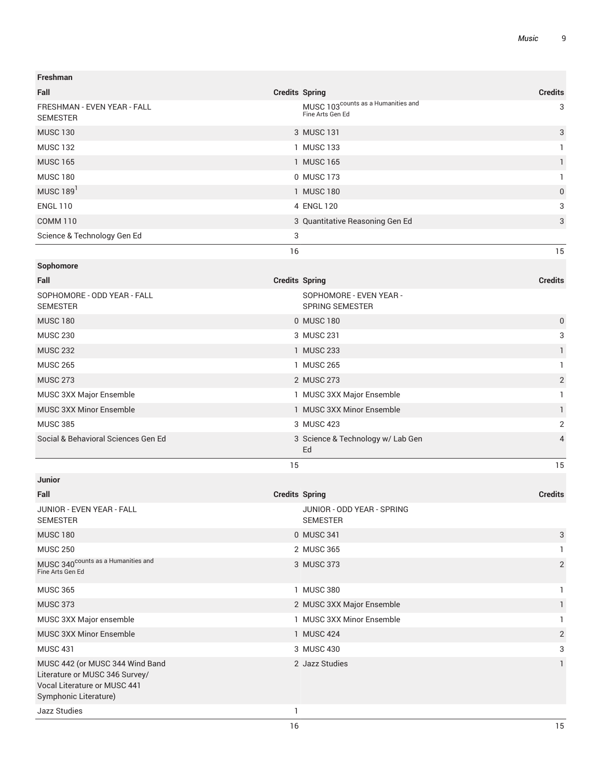| Freshman                                                                                                                   |                       |                                                                    |                |
|----------------------------------------------------------------------------------------------------------------------------|-----------------------|--------------------------------------------------------------------|----------------|
| Fall                                                                                                                       | <b>Credits Spring</b> |                                                                    | <b>Credits</b> |
| FRESHMAN - EVEN YEAR - FALL<br><b>SEMESTER</b>                                                                             |                       | MUSC 103 <sup>counts</sup> as a Humanities and<br>Fine Arts Gen Ed | 3              |
| <b>MUSC 130</b>                                                                                                            |                       | 3 MUSC 131                                                         | 3              |
| <b>MUSC 132</b>                                                                                                            |                       | 1 MUSC 133                                                         | 1              |
| <b>MUSC 165</b>                                                                                                            |                       | 1 MUSC 165                                                         | 1              |
| <b>MUSC 180</b>                                                                                                            |                       | 0 MUSC 173                                                         | 1              |
| MUSC 189 <sup>1</sup>                                                                                                      |                       | 1 MUSC 180                                                         | 0              |
| <b>ENGL 110</b>                                                                                                            |                       | 4 ENGL 120                                                         | 3              |
| <b>COMM 110</b>                                                                                                            |                       | 3 Quantitative Reasoning Gen Ed                                    | 3              |
| Science & Technology Gen Ed                                                                                                | 3                     |                                                                    |                |
|                                                                                                                            | 16                    |                                                                    | 15             |
| Sophomore                                                                                                                  |                       |                                                                    |                |
| Fall                                                                                                                       | <b>Credits Spring</b> |                                                                    | <b>Credits</b> |
| SOPHOMORE - ODD YEAR - FALL<br><b>SEMESTER</b>                                                                             |                       | SOPHOMORE - EVEN YEAR -<br><b>SPRING SEMESTER</b>                  |                |
| <b>MUSC 180</b>                                                                                                            |                       | 0 MUSC 180                                                         | 0              |
| <b>MUSC 230</b>                                                                                                            |                       | 3 MUSC 231                                                         | 3              |
| <b>MUSC 232</b>                                                                                                            |                       | 1 MUSC 233                                                         | 1              |
| <b>MUSC 265</b>                                                                                                            |                       | 1 MUSC 265                                                         | 1              |
| <b>MUSC 273</b>                                                                                                            |                       | 2 MUSC 273                                                         | $\overline{c}$ |
| MUSC 3XX Major Ensemble                                                                                                    |                       | 1 MUSC 3XX Major Ensemble                                          | 1              |
| <b>MUSC 3XX Minor Ensemble</b>                                                                                             |                       | 1 MUSC 3XX Minor Ensemble                                          | 1              |
| <b>MUSC 385</b>                                                                                                            |                       | 3 MUSC 423                                                         | 2              |
| Social & Behavioral Sciences Gen Ed                                                                                        |                       | 3 Science & Technology w/ Lab Gen<br>Ed                            | $\overline{4}$ |
|                                                                                                                            | 15                    |                                                                    | 15             |
| Junior                                                                                                                     |                       |                                                                    |                |
| Fall                                                                                                                       | <b>Credits Spring</b> |                                                                    | <b>Credits</b> |
| JUNIOR - EVEN YEAR - FALL<br><b>SEMESTER</b>                                                                               |                       | JUNIOR - ODD YEAR - SPRING<br><b>SEMESTER</b>                      |                |
| <b>MUSC 180</b>                                                                                                            |                       | 0 MUSC 341                                                         | 3              |
| <b>MUSC 250</b>                                                                                                            |                       | 2 MUSC 365                                                         | 1              |
| MUSC 340 <sup>counts</sup> as a Humanities and<br>Fine Arts Gen Ed                                                         |                       | 3 MUSC 373                                                         | $\overline{2}$ |
| <b>MUSC 365</b>                                                                                                            |                       | 1 MUSC 380                                                         | 1              |
| <b>MUSC 373</b>                                                                                                            |                       | 2 MUSC 3XX Major Ensemble                                          | $\mathbf{1}$   |
| MUSC 3XX Major ensemble                                                                                                    |                       | 1 MUSC 3XX Minor Ensemble                                          | $\mathbf{1}$   |
| MUSC 3XX Minor Ensemble                                                                                                    |                       | 1 MUSC 424                                                         | $\overline{2}$ |
| <b>MUSC 431</b>                                                                                                            |                       | 3 MUSC 430                                                         | 3              |
| MUSC 442 (or MUSC 344 Wind Band<br>Literature or MUSC 346 Survey/<br>Vocal Literature or MUSC 441<br>Symphonic Literature) |                       | 2 Jazz Studies                                                     | $\mathbf{1}$   |
| Jazz Studies                                                                                                               | 1                     |                                                                    |                |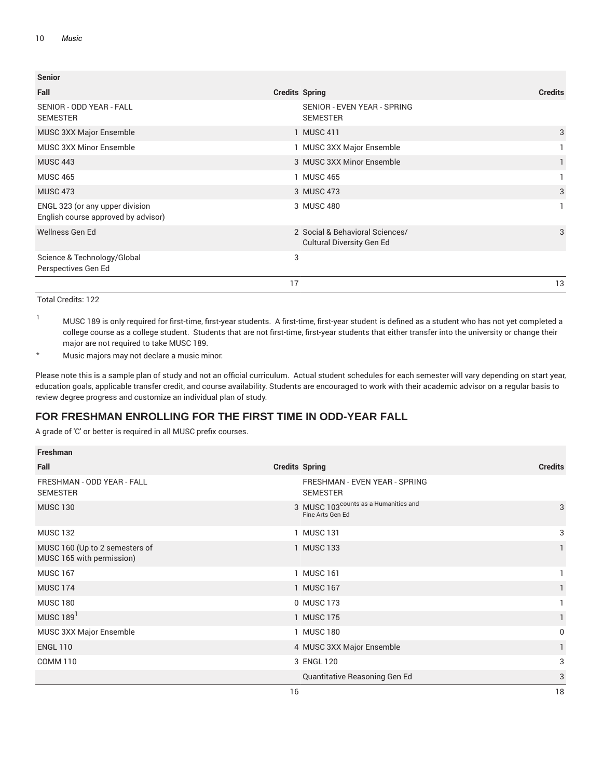| <b>Senior</b>                                                          |                                                                     |                |
|------------------------------------------------------------------------|---------------------------------------------------------------------|----------------|
| Fall                                                                   | <b>Credits Spring</b>                                               | <b>Credits</b> |
| SENIOR - ODD YEAR - FALL<br><b>SEMESTER</b>                            | SENIOR - EVEN YEAR - SPRING<br><b>SEMESTER</b>                      |                |
| MUSC 3XX Major Ensemble                                                | 1 MUSC 411                                                          | 3              |
| <b>MUSC 3XX Minor Ensemble</b>                                         | 1 MUSC 3XX Major Ensemble                                           |                |
| <b>MUSC 443</b>                                                        | 3 MUSC 3XX Minor Ensemble                                           |                |
| <b>MUSC 465</b>                                                        | 1 MUSC 465                                                          |                |
| <b>MUSC 473</b>                                                        | 3 MUSC 473                                                          | 3              |
| ENGL 323 (or any upper division<br>English course approved by advisor) | 3 MUSC 480                                                          |                |
| Wellness Gen Ed                                                        | 2 Social & Behavioral Sciences/<br><b>Cultural Diversity Gen Ed</b> | 3              |
| Science & Technology/Global<br>Perspectives Gen Ed                     | 3                                                                   |                |
|                                                                        | 17                                                                  | 13             |

<sup>1</sup> MUSC 189 is only required for first-time, first-year students. A first-time, first-year student is defined as a student who has not yet completed a college course as a college student. Students that are not first-time, first-year students that either transfer into the university or change their major are not required to take MUSC 189.

\* Music majors may not declare a music minor.

Please note this is a sample plan of study and not an official curriculum. Actual student schedules for each semester will vary depending on start year, education goals, applicable transfer credit, and course availability. Students are encouraged to work with their academic advisor on a regular basis to review degree progress and customize an individual plan of study.

# **FOR FRESHMAN ENROLLING FOR THE FIRST TIME IN ODD-YEAR FALL**

| Freshman                                                    |                                                                      |                |
|-------------------------------------------------------------|----------------------------------------------------------------------|----------------|
| Fall                                                        | <b>Credits Spring</b>                                                | <b>Credits</b> |
| FRESHMAN - ODD YEAR - FALL<br><b>SEMESTER</b>               | FRESHMAN - EVEN YEAR - SPRING<br><b>SEMESTER</b>                     |                |
| <b>MUSC 130</b>                                             | 3 MUSC 103 <sup>counts</sup> as a Humanities and<br>Fine Arts Gen Ed | 3              |
| <b>MUSC 132</b>                                             | 1 MUSC 131                                                           | 3              |
| MUSC 160 (Up to 2 semesters of<br>MUSC 165 with permission) | 1 MUSC 133                                                           | 1              |
| <b>MUSC 167</b>                                             | 1 MUSC 161                                                           |                |
| <b>MUSC 174</b>                                             | 1 MUSC 167                                                           |                |
| <b>MUSC 180</b>                                             | 0 MUSC 173                                                           |                |
| MUSC $1891$                                                 | 1 MUSC 175                                                           |                |
| MUSC 3XX Major Ensemble                                     | 1 MUSC 180                                                           | 0              |
| <b>ENGL 110</b>                                             | 4 MUSC 3XX Major Ensemble                                            |                |
| <b>COMM 110</b>                                             | 3 ENGL 120                                                           | 3              |
|                                                             | Quantitative Reasoning Gen Ed                                        | 3              |
|                                                             | 16                                                                   | 18             |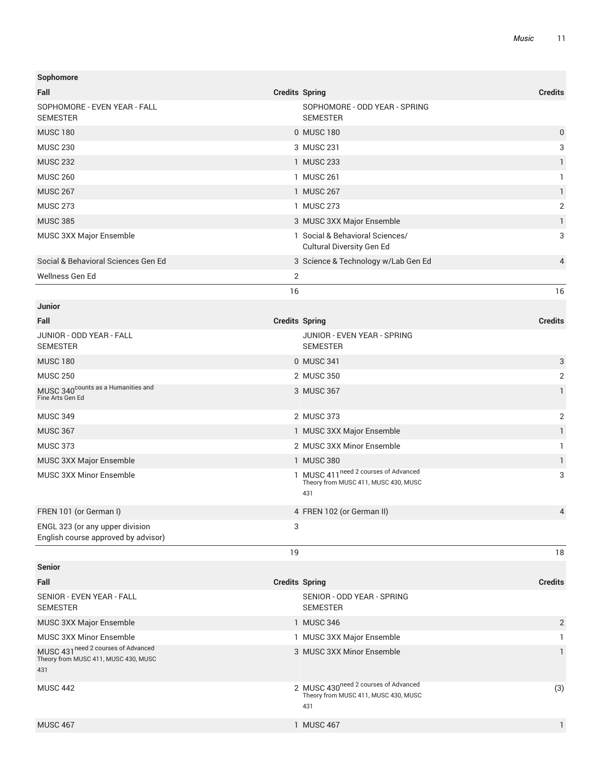| Sophomore                                                                          |                       |                                                                                                 |                |
|------------------------------------------------------------------------------------|-----------------------|-------------------------------------------------------------------------------------------------|----------------|
| Fall                                                                               | <b>Credits Spring</b> |                                                                                                 | <b>Credits</b> |
| SOPHOMORE - EVEN YEAR - FALL<br><b>SEMESTER</b>                                    |                       | SOPHOMORE - ODD YEAR - SPRING<br><b>SEMESTER</b>                                                |                |
| <b>MUSC 180</b>                                                                    |                       | 0 MUSC 180                                                                                      | 0              |
| <b>MUSC 230</b>                                                                    |                       | 3 MUSC 231                                                                                      | 3              |
| <b>MUSC 232</b>                                                                    |                       | 1 MUSC 233                                                                                      | 1              |
| <b>MUSC 260</b>                                                                    |                       | 1 MUSC 261                                                                                      | 1              |
| <b>MUSC 267</b>                                                                    |                       | 1 MUSC 267                                                                                      | $\mathbf{1}$   |
| <b>MUSC 273</b>                                                                    |                       | 1 MUSC 273                                                                                      | $\sqrt{2}$     |
| <b>MUSC 385</b>                                                                    |                       | 3 MUSC 3XX Major Ensemble                                                                       | $\mathbf{1}$   |
| MUSC 3XX Major Ensemble                                                            |                       | 1 Social & Behavioral Sciences/<br><b>Cultural Diversity Gen Ed</b>                             | 3              |
| Social & Behavioral Sciences Gen Ed                                                |                       | 3 Science & Technology w/Lab Gen Ed                                                             | 4              |
| Wellness Gen Ed                                                                    | 2                     |                                                                                                 |                |
|                                                                                    | 16                    |                                                                                                 | 16             |
| Junior                                                                             |                       |                                                                                                 |                |
| Fall                                                                               | <b>Credits Spring</b> |                                                                                                 | <b>Credits</b> |
| JUNIOR - ODD YEAR - FALL<br><b>SEMESTER</b>                                        |                       | JUNIOR - EVEN YEAR - SPRING<br><b>SEMESTER</b>                                                  |                |
| <b>MUSC 180</b>                                                                    |                       | 0 MUSC 341                                                                                      | 3              |
| <b>MUSC 250</b>                                                                    |                       | 2 MUSC 350                                                                                      | $\overline{2}$ |
| MUSC 340 <sup>counts</sup> as a Humanities and<br>Fine Arts Gen Ed                 |                       | 3 MUSC 367                                                                                      | 1              |
| <b>MUSC 349</b>                                                                    |                       | 2 MUSC 373                                                                                      | $\overline{2}$ |
| <b>MUSC 367</b>                                                                    |                       | 1 MUSC 3XX Major Ensemble                                                                       | $\mathbf{1}$   |
| <b>MUSC 373</b>                                                                    |                       | 2 MUSC 3XX Minor Ensemble                                                                       | 1              |
| MUSC 3XX Major Ensemble                                                            |                       | 1 MUSC 380                                                                                      | $\mathbf{1}$   |
| <b>MUSC 3XX Minor Ensemble</b>                                                     |                       | 1 MUSC 411 <sup>need 2</sup> courses of Advanced<br>Theory from MUSC 411, MUSC 430, MUSC<br>431 | 3              |
| FREN 101 (or German I)                                                             |                       | 4 FREN 102 (or German II)                                                                       | 4              |
| ENGL 323 (or any upper division<br>English course approved by advisor)             | 3                     |                                                                                                 |                |
|                                                                                    | 19                    |                                                                                                 | 18             |
| <b>Senior</b>                                                                      |                       |                                                                                                 |                |
| Fall                                                                               | <b>Credits Spring</b> |                                                                                                 | <b>Credits</b> |
| SENIOR - EVEN YEAR - FALL<br><b>SEMESTER</b>                                       |                       | SENIOR - ODD YEAR - SPRING<br><b>SEMESTER</b>                                                   |                |
| MUSC 3XX Major Ensemble                                                            |                       | 1 MUSC 346                                                                                      | $\overline{2}$ |
| MUSC 3XX Minor Ensemble                                                            |                       | 1 MUSC 3XX Major Ensemble                                                                       | 1              |
| MUSC 431 need 2 courses of Advanced<br>Theory from MUSC 411, MUSC 430, MUSC<br>431 |                       | 3 MUSC 3XX Minor Ensemble                                                                       | 1              |
| <b>MUSC 442</b>                                                                    |                       | 2 MUSC 430 <sup>need 2</sup> courses of Advanced<br>Theory from MUSC 411, MUSC 430, MUSC<br>431 | (3)            |
| <b>MUSC 467</b>                                                                    |                       | 1 MUSC 467                                                                                      | $\mathbf{1}$   |
|                                                                                    |                       |                                                                                                 |                |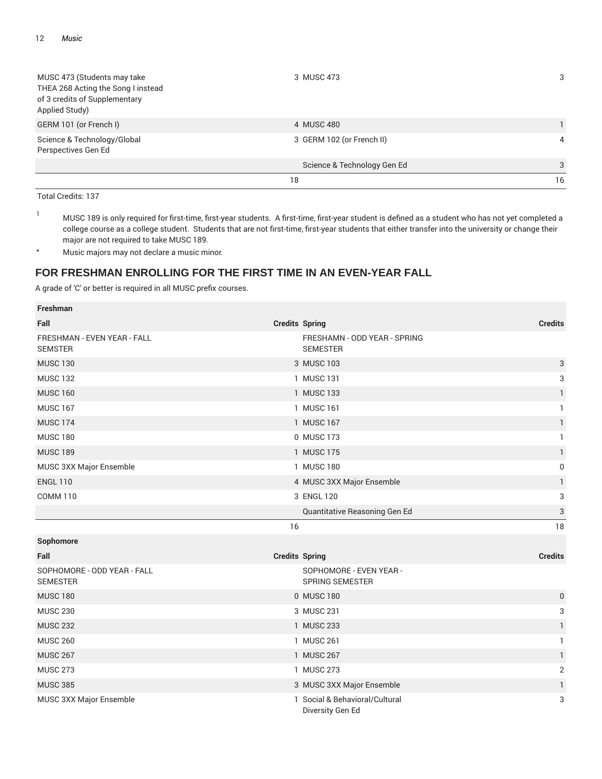| MUSC 473 (Students may take<br>THEA 268 Acting the Song I instead<br>of 3 credits of Supplementary<br>Applied Study) | 3 MUSC 473                  | 3  |
|----------------------------------------------------------------------------------------------------------------------|-----------------------------|----|
| GERM 101 (or French I)                                                                                               | 4 MUSC 480                  |    |
| Science & Technology/Global<br>Perspectives Gen Ed                                                                   | 3 GERM 102 (or French II)   | 4  |
|                                                                                                                      | Science & Technology Gen Ed | 3  |
|                                                                                                                      | 18                          | 16 |

<sup>1</sup> MUSC 189 is only required for first-time, first-year students. A first-time, first-year student is defined as a student who has not yet completed a college course as a college student. Students that are not first-time, first-year students that either transfer into the university or change their major are not required to take MUSC 189.

\* Music majors may not declare a music minor.

# **FOR FRESHMAN ENROLLING FOR THE FIRST TIME IN AN EVEN-YEAR FALL**

| <b>Freshman</b>                                |                       |                                                    |                           |
|------------------------------------------------|-----------------------|----------------------------------------------------|---------------------------|
| Fall                                           | <b>Credits Spring</b> |                                                    | <b>Credits</b>            |
| FRESHMAN - EVEN YEAR - FALL<br><b>SEMSTER</b>  |                       | FRESHAMN - ODD YEAR - SPRING<br><b>SEMESTER</b>    |                           |
| <b>MUSC 130</b>                                |                       | 3 MUSC 103                                         | $\ensuremath{\mathsf{3}}$ |
| <b>MUSC 132</b>                                |                       | 1 MUSC 131                                         | 3                         |
| <b>MUSC 160</b>                                |                       | 1 MUSC 133                                         | $\mathbf{1}$              |
| <b>MUSC 167</b>                                |                       | 1 MUSC 161                                         | $\mathbf{1}$              |
| <b>MUSC 174</b>                                |                       | 1 MUSC 167                                         | $\mathbf{1}$              |
| <b>MUSC 180</b>                                |                       | 0 MUSC 173                                         | $\mathbf{1}$              |
| <b>MUSC 189</b>                                |                       | 1 MUSC 175                                         | $\mathbf{1}$              |
| MUSC 3XX Major Ensemble                        |                       | 1 MUSC 180                                         | 0                         |
| <b>ENGL 110</b>                                |                       | 4 MUSC 3XX Major Ensemble                          | 1                         |
| <b>COMM 110</b>                                |                       | 3 ENGL 120                                         | 3                         |
|                                                |                       | Quantitative Reasoning Gen Ed                      | 3                         |
|                                                | 16                    |                                                    | 18                        |
| Sophomore                                      |                       |                                                    |                           |
| Fall                                           | <b>Credits Spring</b> |                                                    | <b>Credits</b>            |
| SOPHOMORE - ODD YEAR - FALL<br><b>SEMESTER</b> |                       | SOPHOMORE - EVEN YEAR -<br><b>SPRING SEMESTER</b>  |                           |
| <b>MUSC 180</b>                                |                       | 0 MUSC 180                                         | $\pmb{0}$                 |
| <b>MUSC 230</b>                                |                       | 3 MUSC 231                                         | 3                         |
| <b>MUSC 232</b>                                |                       | 1 MUSC 233                                         | $\mathbf{1}$              |
| <b>MUSC 260</b>                                |                       | 1 MUSC 261                                         | 1                         |
| <b>MUSC 267</b>                                |                       | 1 MUSC 267                                         | $\mathbf{1}$              |
| <b>MUSC 273</b>                                |                       | 1 MUSC 273                                         | $\sqrt{2}$                |
| <b>MUSC 385</b>                                |                       | 3 MUSC 3XX Major Ensemble                          | $\mathbf{1}$              |
| MUSC 3XX Major Ensemble                        |                       | 1 Social & Behavioral/Cultural<br>Diversity Gen Ed | 3                         |